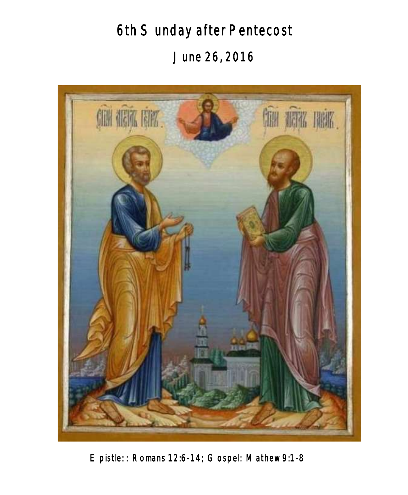6th Sunday after Pentecost June 26, 2016



Epistle: : Romans 12:6-14; Gospel: Mathew 9:1-8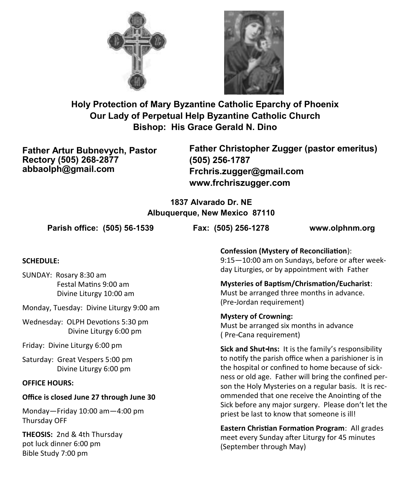



**Holy Protection of Mary Byzantine Catholic Eparchy of Phoenix Our Lady of Perpetual Help Byzantine Catholic Church Bishop: His Grace Gerald N. Dino**

**Father Artur Bubnevych, Pastor Rectory (505) 268-2877 abbaolph@gmail.com**

**Father Christopher Zugger (pastor emeritus) (505) 256-1787 Frchris.zugger@gmail.com www.frchriszugger.com** 

**1837 Alvarado Dr. NE Albuquerque, New Mexico 87110**

**Parish office: (505) 56-1539 Fax: (505) 256-1278 www.olphnm.org**

#### **SCHEDULE:**

SUNDAY: Rosary 8:30 am Festal Matins 9:00 am Divine Liturgy 10:00 am

Monday, Tuesday: Divine Liturgy 9:00 am

Wednesday: OLPH Devotions 5:30 pm Divine Liturgy 6:00 pm

Friday: Divine Liturgy 6:00 pm

Saturday: Great Vespers 5:00 pm Divine Liturgy 6:00 pm

#### **OFFICE HOURS:**

#### **Office is closed June 27 through June 30**

Monday—Friday 10:00 am—4:00 pm Thursday OFF

**THEOSIS:** 2nd & 4th Thursday pot luck dinner 6:00 pm Bible Study 7:00 pm

**Confession (Mystery of Reconciliation**): 9:15—10:00 am on Sundays, before or after weekday Liturgies, or by appointment with Father

**Mysteries of Baptism/Chrismation/Eucharist**: Must be arranged three months in advance. (Pre-Jordan requirement)

**Mystery of Crowning:**  Must be arranged six months in advance ( Pre-Cana requirement)

**Sick and Shut-Ins:** It is the family's responsibility to notify the parish office when a parishioner is in the hospital or confined to home because of sickness or old age. Father will bring the confined person the Holy Mysteries on a regular basis. It is recommended that one receive the Anointing of the Sick before any major surgery. Please don't let the priest be last to know that someone is ill!

**Eastern Christian Formation Program**: All grades meet every Sunday after Liturgy for 45 minutes (September through May)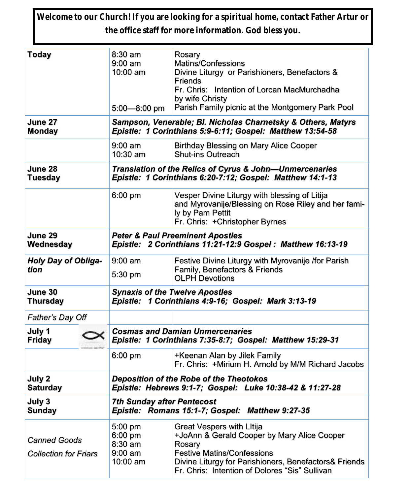**Welcome to our Church! If you are looking for a spiritual home, contact Father Artur or the office staff for more information. God bless you.**

| Today                                               | 8:30 am<br>$9:00 \text{ am}$<br>10:00 am<br>$5:00 - 8:00$ pm                                                              | Rosary<br><b>Matins/Confessions</b><br>Divine Liturgy or Parishioners, Benefactors &<br><b>Friends</b><br>Fr. Chris: Intention of Lorcan MacMurchadha<br>by wife Christy<br>Parish Family picnic at the Montgomery Park Pool       |  |
|-----------------------------------------------------|---------------------------------------------------------------------------------------------------------------------------|------------------------------------------------------------------------------------------------------------------------------------------------------------------------------------------------------------------------------------|--|
| June 27<br><b>Monday</b>                            | Sampson, Venerable; Bl. Nicholas Charnetsky & Others, Matyrs<br>Epistle: 1 Corinthians 5:9-6:11; Gospel: Matthew 13:54-58 |                                                                                                                                                                                                                                    |  |
|                                                     | $9:00$ am<br>$10:30$ am                                                                                                   | <b>Birthday Blessing on Mary Alice Cooper</b><br><b>Shut-ins Outreach</b>                                                                                                                                                          |  |
| June 28<br>Tuesday                                  | Translation of the Relics of Cyrus & John-Unmercenaries<br>Epistle: 1 Corinthians 6:20-7:12; Gospel: Matthew 14:1-13      |                                                                                                                                                                                                                                    |  |
|                                                     | 6:00 pm                                                                                                                   | Vesper Divine Liturgy with blessing of Litija<br>and Myrovanije/Blessing on Rose Riley and her fami-<br>ly by Pam Pettit<br>Fr. Chris: +Christopher Byrnes                                                                         |  |
| June 29<br>Wednesday                                | <b>Peter &amp; Paul Preeminent Apostles</b><br>Epistle: 2 Corinthians 11:21-12:9 Gospel: Matthew 16:13-19                 |                                                                                                                                                                                                                                    |  |
| <b>Holy Day of Obliga-</b><br>tion                  | $9:00$ am<br>5:30 pm                                                                                                      | Festive Divine Liturgy with Myrovanije /for Parish<br>Family, Benefactors & Friends<br><b>OLPH Devotions</b>                                                                                                                       |  |
| June 30<br>Thursday                                 | <b>Synaxis of the Twelve Apostles</b><br>Epistle: 1 Corinthians 4:9-16; Gospel: Mark 3:13-19                              |                                                                                                                                                                                                                                    |  |
| Father's Day Off                                    |                                                                                                                           |                                                                                                                                                                                                                                    |  |
| July 1<br><b>Friday</b>                             | <b>Cosmas and Damian Unmercenaries</b><br>Epistle: 1 Corinthians 7:35-8:7; Gospel: Matthew 15:29-31                       |                                                                                                                                                                                                                                    |  |
|                                                     | 6:00 pm                                                                                                                   | +Keenan Alan by Jilek Family<br>Fr. Chris: +Mirium H. Arnold by M/M Richard Jacobs                                                                                                                                                 |  |
| July 2<br><b>Saturday</b>                           | Deposition of the Robe of the Theotokos<br>Epistle: Hebrews 9:1-7; Gospel: Luke 10:38-42 & 11:27-28                       |                                                                                                                                                                                                                                    |  |
| July 3<br>Sunday                                    | <b>7th Sunday after Pentecost</b><br>Epistle: Romans 15:1-7; Gospel: Matthew 9:27-35                                      |                                                                                                                                                                                                                                    |  |
| <b>Canned Goods</b><br><b>Collection for Friars</b> | 5:00 pm<br>6:00 pm<br>8:30 am<br>$9:00$ am<br>10:00 am                                                                    | Great Vespers with Litija<br>+JoAnn & Gerald Cooper by Mary Alice Cooper<br>Rosary<br><b>Festive Matins/Confessions</b><br>Divine Liturgy for Parishioners, Benefactors& Friends<br>Fr. Chris: Intention of Dolores "Sis" Sullivan |  |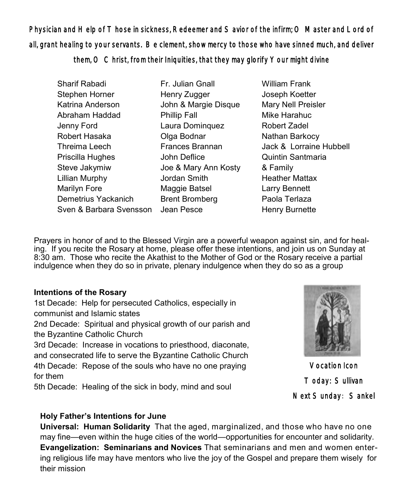Physician and Help of Those in sickness, Redeemer and Savior of the infirm; O Master and Lord of all, grant healing to your servants. Be clement, show mercy to those who have sinned much, and deliver them, O Christ, from their Iniquities, that they may glorify Your might divine

- Sharif Rabadi Stephen Horner Katrina Anderson Abraham Haddad Jenny Ford Robert Hasaka Threima Leech Priscilla Hughes Steve Jakymiw Lillian Murphy Marilyn Fore Demetrius Yackanich Sven & Barbara Svensson Jean Pesce Fr. Julian Gnall Henry Zugger John & Margie Disque Phillip Fall Laura Dominquez Olga Bodnar Frances Brannan John Deflice Joe & Mary Ann Kosty Jordan Smith Maggie Batsel Brent Bromberg
- William Frank Joseph Koetter Mary Nell Preisler Mike Harahuc Robert Zadel Nathan Barkocy Jack & Lorraine Hubbell Quintin Santmaria & Family Heather Mattax Larry Bennett Paola Terlaza Henry Burnette

Prayers in honor of and to the Blessed Virgin are a powerful weapon against sin, and for healing. If you recite the Rosary at home, please offer these intentions, and join us on Sunday at 8:30 am. Those who recite the Akathist to the Mother of God or the Rosary receive a partial indulgence when they do so in private, plenary indulgence when they do so as a group

#### **Intentions of the Rosary**

1st Decade: Help for persecuted Catholics, especially in communist and Islamic states 2nd Decade: Spiritual and physical growth of our parish and the Byzantine Catholic Church 3rd Decade: Increase in vocations to priesthood, diaconate, and consecrated life to serve the Byzantine Catholic Church

4th Decade: Repose of the souls who have no one praying for them

5th Decade: Healing of the sick in body, mind and soul



Vocation Icon Today: Sullivan Next Sunday: Sankel

## **Holy Father's Intentions for June**

**Universal: Human Solidarity** That the aged, marginalized, and those who have no one may fine—even within the huge cities of the world—opportunities for encounter and solidarity. **Evangelization: Seminarians and Novices** That seminarians and men and women entering religious life may have mentors who live the joy of the Gospel and prepare them wisely for their mission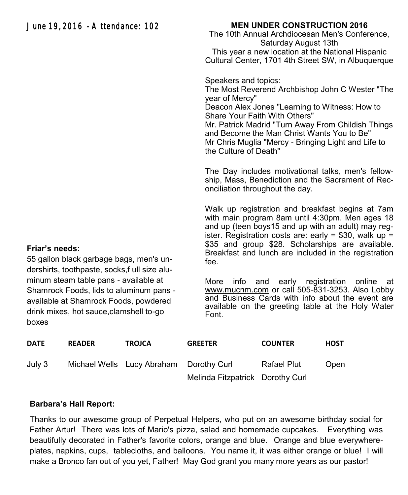### **MEN UNDER CONSTRUCTION 2016**

The 10th Annual Archdiocesan Men's Conference, Saturday August 13th This year a new location at the National Hispanic Cultural Center, 1701 4th Street SW, in Albuquerque

Speakers and topics: The Most Reverend Archbishop John C Wester "The year of Mercy" Deacon Alex Jones "Learning to Witness: How to Share Your Faith With Others" Mr. Patrick Madrid "Turn Away From Childish Things and Become the Man Christ Wants You to Be" Mr Chris Muglia "Mercy - Bringing Light and Life to the Culture of Death"

The Day includes motivational talks, men's fellowship, Mass, Benediction and the Sacrament of Reconciliation throughout the day.

Walk up registration and breakfast begins at 7am with main program 8am until 4:30pm. Men ages 18 and up (teen boys15 and up with an adult) may register. Registration costs are: early =  $$30$ , walk up = \$35 and group \$28. Scholarships are available. Breakfast and lunch are included in the registration fee.

More info and early registration online at [www.mucnm.com](http://www.mucnm.com) or call 505-831-3253. Also Lobby and Business Cards with info about the event are available on the greeting table at the Holy Water Font.

| <b>DATE</b> | <b>READER</b> | <b>TROJCA</b>                           | <b>GREETER</b>                   | <b>COUNTER</b> | <b>HOST</b> |
|-------------|---------------|-----------------------------------------|----------------------------------|----------------|-------------|
| July 3      |               | Michael Wells Lucy Abraham Dorothy Curl |                                  | Rafael Plut    | Open        |
|             |               |                                         | Melinda Fitzpatrick Dorothy Curl |                |             |

#### **Barbara's Hall Report:**

Thanks to our awesome group of Perpetual Helpers, who put on an awesome birthday social for Father Artur! There was lots of Mario's pizza, salad and homemade cupcakes. Everything was beautifully decorated in Father's favorite colors, orange and blue. Orange and blue everywhereplates, napkins, cups, tablecloths, and balloons. You name it, it was either orange or blue! I will make a Bronco fan out of you yet, Father! May God grant you many more years as our pastor!

#### **Friar's needs:**

55 gallon black garbage bags, men's undershirts, toothpaste, socks,f ull size aluminum steam table pans - available at Shamrock Foods, lids to aluminum pans available at Shamrock Foods, powdered drink mixes, hot sauce,clamshell to-go boxes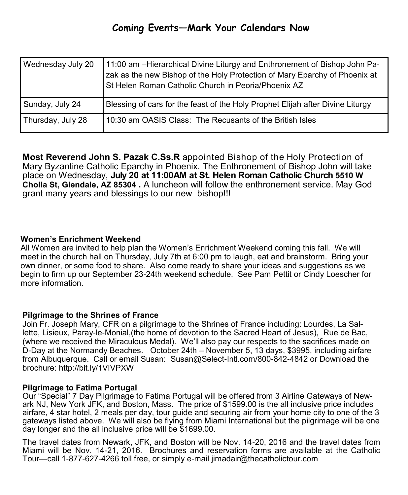| Wednesday July 20 | 11:00 am –Hierarchical Divine Liturgy and Enthronement of Bishop John Pa-<br>zak as the new Bishop of the Holy Protection of Mary Eparchy of Phoenix at<br>St Helen Roman Catholic Church in Peoria/Phoenix AZ |
|-------------------|----------------------------------------------------------------------------------------------------------------------------------------------------------------------------------------------------------------|
| Sunday, July 24   | Blessing of cars for the feast of the Holy Prophet Elijah after Divine Liturgy                                                                                                                                 |
| Thursday, July 28 | 10:30 am OASIS Class: The Recusants of the British Isles                                                                                                                                                       |

**Most Reverend John S. Pazak C.Ss.R** appointed Bishop of the Holy Protection of Mary Byzantine Catholic Eparchy in Phoenix. The Enthronement of Bishop John will take place on Wednesday, **July 20 at 11:00AM at St. Helen Roman Catholic Church 5510 W Cholla St, Glendale, AZ 85304 .** A luncheon will follow the enthronement service. May God grant many years and blessings to our new bishop!!!

#### **Women's Enrichment Weekend**

All Women are invited to help plan the Women's Enrichment Weekend coming this fall. We will meet in the church hall on Thursday, July 7th at 6:00 pm to laugh, eat and brainstorm. Bring your own dinner, or some food to share. Also come ready to share your ideas and suggestions as we begin to firm up our September 23-24th weekend schedule. See Pam Pettit or Cindy Loescher for more information.

#### **Pilgrimage to the Shrines of France**

Join Fr. Joseph Mary, CFR on a pilgrimage to the Shrines of France including: Lourdes, La Sallette, Lisieux, Paray-le-Monial,(the home of devotion to the Sacred Heart of Jesus), Rue de Bac, (where we received the Miraculous Medal). We'll also pay our respects to the sacrifices made on D-Day at the Normandy Beaches. October 24th – November 5, 13 days, \$3995, including airfare from Albuquerque. Call or email Susan: Susan@Select-Intl.com/800-842-4842 or Download the brochure: <http://bit.ly/1VIVPXW>

#### **Pilgrimage to Fatima Portugal**

Our "Special" 7 Day Pilgrimage to Fatima Portugal will be offered from 3 Airline Gateways of Newark NJ, New York JFK, and Boston, Mass. The price of \$1599.00 is the all inclusive price includes airfare, 4 star hotel, 2 meals per day, tour guide and securing air from your home city to one of the 3 gateways listed above. We will also be flying from Miami International but the pilgrimage will be one day longer and the all inclusive price will be \$1699.00.

The travel dates from Newark, JFK, and Boston will be Nov. 14-20, 2016 and the travel dates from Miami will be Nov. 14-21, 2016. Brochures and reservation forms are available at the Catholic Tour—call 1-877-627-4266 toll free, or simply e-mail jimadair@thecatholictour.com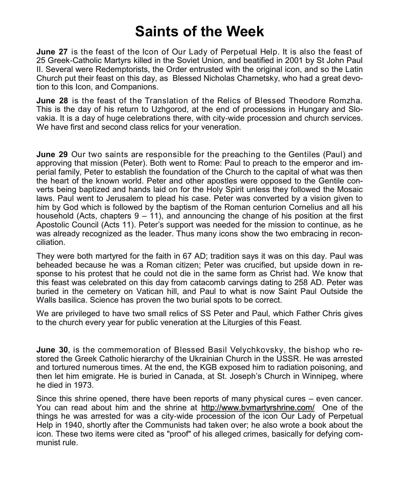## **Saints of the Week**

**June 27** is the feast of the Icon of Our Lady of Perpetual Help. It is also the feast of 25 Greek-Catholic Martyrs killed in the Soviet Union, and beatified in 2001 by St John Paul II. Several were Redemptorists, the Order entrusted with the original icon, and so the Latin Church put their feast on this day, as Blessed Nicholas Charnetsky, who had a great devotion to this Icon, and Companions.

**June 28** is the feast of the Translation of the Relics of Blessed Theodore Romzha. This is the day of his return to Uzhgorod, at the end of processions in Hungary and Slovakia. It is a day of huge celebrations there, with city-wide procession and church services. We have first and second class relics for your veneration.

**June 29** Our two saints are responsible for the preaching to the Gentiles (Paul) and approving that mission (Peter). Both went to Rome: Paul to preach to the emperor and imperial family, Peter to establish the foundation of the Church to the capital of what was then the heart of the known world. Peter and other apostles were opposed to the Gentile converts being baptized and hands laid on for the Holy Spirit unless they followed the Mosaic laws. Paul went to Jerusalem to plead his case. Peter was converted by a vision given to him by God which is followed by the baptism of the Roman centurion Cornelius and all his household (Acts, chapters  $9 - 11$ ), and announcing the change of his position at the first Apostolic Council (Acts 11). Peter's support was needed for the mission to continue, as he was already recognized as the leader. Thus many icons show the two embracing in reconciliation.

They were both martyred for the faith in 67 AD; tradition says it was on this day. Paul was beheaded because he was a Roman citizen; Peter was crucified, but upside down in response to his protest that he could not die in the same form as Christ had. We know that this feast was celebrated on this day from catacomb carvings dating to 258 AD. Peter was buried in the cemetery on Vatican hill, and Paul to what is now Saint Paul Outside the Walls basilica. Science has proven the two burial spots to be correct.

We are privileged to have two small relics of SS Peter and Paul, which Father Chris gives to the church every year for public veneration at the Liturgies of this Feast.

**June 30**, is the commemoration of Blessed Basil Velychkovsky, the bishop who restored the Greek Catholic hierarchy of the Ukrainian Church in the USSR. He was arrested and tortured numerous times. At the end, the KGB exposed him to radiation poisoning, and then let him emigrate. He is buried in Canada, at St. Joseph's Church in Winnipeg, where he died in 1973.

Since this shrine opened, there have been reports of many physical cures – even cancer. You can read about him and the shrine at <http://www.bvmartyrshrine.com/>One of the things he was arrested for was a city-wide procession of the icon Our Lady of Perpetual Help in 1940, shortly after the Communists had taken over; he also wrote a book about the icon. These two items were cited as "proof" of his alleged crimes, basically for defying communist rule.